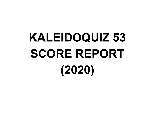# **KALEIDOQUIZ 53 SCORE REPORT (2020)**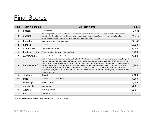# Final Scores

| <b>Rank</b>    | <b>Team Nickname</b> | <b>Full Team Name</b>                                                                                                                                                                                                                                                                                                                                                                                                                                                                                                                                                                                                                                                                                                                                                    | <b>Points</b> |
|----------------|----------------------|--------------------------------------------------------------------------------------------------------------------------------------------------------------------------------------------------------------------------------------------------------------------------------------------------------------------------------------------------------------------------------------------------------------------------------------------------------------------------------------------------------------------------------------------------------------------------------------------------------------------------------------------------------------------------------------------------------------------------------------------------------------------------|---------------|
| 1              | pelican              | Čxwpxwapł dwłt                                                                                                                                                                                                                                                                                                                                                                                                                                                                                                                                                                                                                                                                                                                                                           | 12,055        |
| $\mathbf{2}$   | ripspirit            | The incomparable feeling of heartbreak and despair after watching 55 minutes and 45 seconds of the 2002 Dreamworks<br>animated film Spirit: Stallion of the Cimarron before breaking down and crying as Grammy award-winning Canadian<br>singer-songwriter Bryan Adams begins to sing the song "Sound the Bugle"                                                                                                                                                                                                                                                                                                                                                                                                                                                         | 11,270        |
| 3              | turbotim             | Turbo Tim's Amateur Photography Club                                                                                                                                                                                                                                                                                                                                                                                                                                                                                                                                                                                                                                                                                                                                     | 10,148        |
| 4              | h2hoes               | H <sub>2</sub> -Hoes                                                                                                                                                                                                                                                                                                                                                                                                                                                                                                                                                                                                                                                                                                                                                     | 8,920         |
| 5              | diosurprise          | https://kqteamname.info                                                                                                                                                                                                                                                                                                                                                                                                                                                                                                                                                                                                                                                                                                                                                  | 8,480         |
| 6              | forbiddenregion      | Penetration of the Classically Forbidden Region                                                                                                                                                                                                                                                                                                                                                                                                                                                                                                                                                                                                                                                                                                                          | 8,253         |
| $\overline{7}$ | carverurinals        | Put Urinal Dividers in the Carver Bathrooms                                                                                                                                                                                                                                                                                                                                                                                                                                                                                                                                                                                                                                                                                                                              | 4,350         |
| 8              | bananabread*         | dude i got some fucking banana bread at work today dude? hell yeah, my mom told me if i wait for things, like, good things will<br>happen to me dude and fucking i waited for some things and i got some banana bread at work today dude? hell yeah. so it just<br>goes to show that waiting for things is, like, worth it. but there's a lot of bad things in this world, dude. like fucking skunks dude?<br>hell no. Scratching you're eye, but it's STILL fucking ITCHY dude?! HELL no. the fucking CUBS, DUDE? HELL NO!! LIKE<br>GETTING PAID NOT A LOT OF MONEY, DUDE?! FOR FUCKING WORKING?! HELL NO!!!! BUT BANANA BREAD?! AT<br>FUCKING WORK, DUDE?! HELL YEAH!!!!!! HELL YEAH, BRO!!!! HELL YEAH!! BANANA BREAD, BRO, AT FUCKING WORK,<br>DUDE !!!! HELL YEAH!! | 4,205         |
| 9              | starbuck             | <b>Starbuck</b>                                                                                                                                                                                                                                                                                                                                                                                                                                                                                                                                                                                                                                                                                                                                                          | 4,100         |
| 10             | mlitb                | Much Love In The Bands (MLITB)                                                                                                                                                                                                                                                                                                                                                                                                                                                                                                                                                                                                                                                                                                                                           | 4,000         |
| 11             | kidknappers          | The kid Knappers                                                                                                                                                                                                                                                                                                                                                                                                                                                                                                                                                                                                                                                                                                                                                         | 3,158         |
| 12             | goophooboo           | goo phoo boo                                                                                                                                                                                                                                                                                                                                                                                                                                                                                                                                                                                                                                                                                                                                                             | 760           |
| 13             | warriors*            | <b>Waterbury Warriors</b>                                                                                                                                                                                                                                                                                                                                                                                                                                                                                                                                                                                                                                                                                                                                                | 320           |
| 14             | vandalay*            | Vandalay Industries                                                                                                                                                                                                                                                                                                                                                                                                                                                                                                                                                                                                                                                                                                                                                      | 270           |

\* Radio-only (totals exclude travel, scavenger hunts, and events)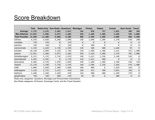## **Score Breakdown**

|                        | <b>Total</b> | <b>Radio-Only</b> | <b>Non-Radio Questions</b> |       | <b>Montages</b> | <b>Photos</b> | <b>Videos</b> | <b>Events</b> | <b>Scav Hunts</b> | <b>Travel</b> |
|------------------------|--------------|-------------------|----------------------------|-------|-----------------|---------------|---------------|---------------|-------------------|---------------|
| Average:               | 5,735        | 3,233             | 2,502                      | 1,412 | 194             | 870           | 757           | 1,825         | 309               | 368           |
| <b>Max Attained:</b>   | 12,055       | 5,980             | 6,075                      | 2,680 | 450             | 1,500         | 1,400         | 3,660         | 705               | 2,000         |
|                        |              |                   |                            |       |                 |               |               |               |                   |               |
| <b>Total Possible:</b> | 19,400       | 11,400            | 8,000                      | 6,500 | 800             | 2,500         | 1,600         | 4,800         | 800               | 2,400         |
| h2hoes                 | 8,920        | 4,820             | 4,100                      | 1,900 | 220             | 1,400         | 1,300         | 3,270         | 630               | 200           |
| vandalay               | 270          | 270               | 0                          | 270   | 0               | 0             | ø             | 0             | 0                 | 0             |
| warriors               | 320          | 320               | 0                          | 220   | 0               | 100           | 0             | 0             | 0                 | 0             |
| carverurinals          | 4,350        | 2,620             | 1,730                      | 1,590 | 330             | 100           | 600           | 1,660         | 70                | 0             |
| turbotim               | 10,148       | 4,890             | 5,258                      | 1,740 | 350             | 1,500         | 1,300         | 3,265         | 593               | 1,400         |
| pelican                | 12,055       | 5,980             | 6,075                      | 2,680 | 450             | 1,450         | 1,400         | 3,370         | 705               | 2,000         |
| forbiddenregion        | 8,253        | 5,535             | 2,718                      | 2,470 | 290             | 1,425         | 1,350         | 2,190         | 528               | 0             |
| bananabread            | 4,205        | 4,205             | 0                          | 1,770 | 110             | 1,425         | 900           | 0             | 0                 | 0             |
| diosurprise            | 8,480        | 4,530             | 3,950                      | 1,890 | 240             | 1,100         | 1,300         | 3,380         | 420               | 150           |
| ripspirit              | 11,270       | 5,540             | 5,730                      | 2,550 | 140             | 1,500         | 1,350         | 3,660         | 670               | 1,400         |
| mlitb                  | 4,000        | 2,020             | 1,980                      | 1,040 | 180             | 800           | 0             | 1,870         | 110               | 0             |
| kidknappers            | 3,158        | 1,735             | 1,423                      | 450   | 160             | 425           | 700           | 1,095         | 328               | 0             |
| starbuck               | 4,100        | 2,440             | 1,660                      | 930   | 210             | 900           | 400           | 1,390         | 270               | 0             |
| goophooboo             | 760          | 360               | 400                        | 270   | 40              | 50            | 0             | 400           | 0                 | 0             |

Radio-only categories: Questions, Montages and Picture/Video Submissions

Non-Radio categories: All Events, Scavenger Hunts, and the Travel Question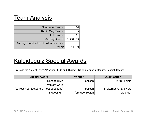## **Team Analysis**

| <b>Number of Teams:</b>                   | 14    |
|-------------------------------------------|-------|
| Radio Only Teams:                         | ₹     |
| Full Teams:                               | 11    |
| Average Score: 5,734.93                   |       |
| Average point value of call in across all |       |
| teams                                     | 11.09 |

## Kaleidoquiz Special Awards

This year, the "Best at Trivia", "Problem Child", and "Biggest Flirt" all got special plaques. Congratulations!

| <b>Special Award</b>                     | <b>Winner</b>   | <b>Qualification</b>     |
|------------------------------------------|-----------------|--------------------------|
| <b>Best at Trivia</b>                    | pelican         | $2,680$ points           |
| Problem Child                            |                 |                          |
| (correctly contested the most questions) | pelican         | 11 "alternative" answers |
| Biggest Flirt                            | forbiddenregion | *blushes*                |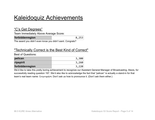# **Kaleidoquiz Achievements**

#### "C's Get Degrees"

Team Immediately Above Average Score:

| forbiddenregion | 8,253 |
|-----------------|-------|
|                 |       |

The award you didn't even know you didn't want. Congrats?

#### "Technically Correct is the Best Kind of Correct"

Best of Questions:

| pelican          | 3,300 |
|------------------|-------|
| <b>ripspirit</b> | 3,260 |
| forbiddenregion  | 3,220 |

We'd like to take this pretty boring achievement to recognize our Assistant General Manager of Broadcasting, Alexis, for successfully reading question 197. We'd also like to acknowledge the fact that "pelican" is actually a stand-in for that team's real team name: Čxwpxwapłġw<sub>t</sub>t. Don't ask us how to pronounce it. (Don't ask them either.)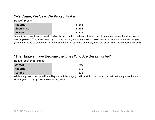#### "We Came, We Saw, We Kicked its Ass"

#### Best of Events:

| ripspirit   | 3,660 |
|-------------|-------|
| diosurprise | 3,380 |
| pelican     | 3,370 |

Team ripspirit was the only team to find our board member, and swept this category by a margin greater than the value of any single event. They were joined by turbotim, pelican, and diosurprise as the only teams to attend every event this year. (As a note: we've created an art gallery of your stunning paintings and analyses in our office. Feel free to check them out!)

#### "The Hunters Have Become the Ones Who Are Being Hunted"

Best of Scavenger Hunts:

| pelican   | 705 |
|-----------|-----|
| ripspirit | 670 |
| h2hoes    | 630 |

While many teams performed incredibly well in this category, I still can't find the corduroy jacket I left at my exes. Let me know if you see it lying around somewhere, will you?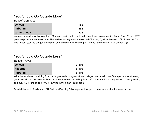#### "You Should Go Outside More"

Best of Montages:

| pelican       | 450 |
|---------------|-----|
| turbotim      | 350 |
| carverurinals | 330 |

As always, you know it or you don't. Montages varied wildly, with individual team scores ranging from 10 to 170 out of 200 possible points for each montage. The easiest montage was the second ("Ramsay"), while the most difficult was the first one ("Food" (yes we cringed during that one too (you think listening to it is bad? try recording it (jk pls don't)))).

#### "You Should Go Outside Less"

Best of Travel:

| pelican   | 2,000 |
|-----------|-------|
| ripspirit | 1,400 |
| turbotim  | 1,400 |

With five locations containing four challenges each, this year's travel category was a wild one. Team pelican was the only group to visit each location, while team diosurprise successfully gained 150 points in this category without actually leaving campus. (50 for the puzzle, 100 for turning in their blank guidebook).

Special thanks to Travis from ISU Facilities Planning & Management for providing resources for the travel puzzle!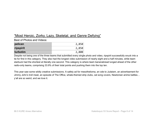#### "Most Heroic, Zorky, Lazy, Skeletal, and Genre Defying"

Best of Photos and Videos:

| pelican   | 2,850 |
|-----------|-------|
| ripspirit | 2,850 |
| turbotim  | 2,800 |

Despite not being one of the three teams that submitted every single photo and video, ripspirit successfully snuck into a tie for first in this category. They also had the longest video submission of nearly eight and a half minutes, while team starbuck had the shortest at literally one second. This category is where team bananabread lunged ahead of the other radio-only teams, comprising 33.9% of their total points and pushing them into the top ten.

This year saw some wildly creative submissions. A safety ad for mesothelioma, an ode to Judaism, an advertisement for Jimmy John's troll meat, an episode of The Office, whale-themed strip clubs, cat song covers, Newtonian anime battles… y'all are so weird, and we love it.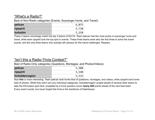#### "What's a Radio?"

Best of Non-Radio categories (Events, Scavenger Hunts, and Travel):

| pelican   | 6,075 |
|-----------|-------|
| ripspirit | 5,730 |
| turbotim  | 5,258 |

These 3 teams *shockingly* match the top 3 teams of KQ 53. Team pelican had the most points in scavenger hunts and travel, while team ripspirit took the top spot in events. These three teams were also the first three to solve the travel puzzle, and the only three teams who actually left campus for the travel challenges. Respect.

#### "Isn't this a Radio-Trivia Contest?"

Best of Radio-Only categories (Questions, Montages, and Photos/Videos):

| pelican         | 5,980 |
|-----------------|-------|
| ripspirit       | 5,540 |
| forbiddenregion | 5,535 |

Now **this** is more interesting. Team pelican took home best of questions, montages, and videos, while ripspirit took home best of photos. While they didn't win any individual categories, forbiddenregion surged ahead of several other teams to take the third place spot here, propelled by a trivia question score **nearly 600** points ahead of the next best team. Every event counts, but never forget that trivia is the backbone of Kaleidoquiz.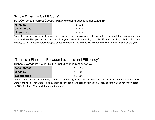#### "Know When To Call It Quits"

Best Correct to Incorrect Question Ratio (excluding questions not called in):

| vandalay           | 1.571 |
|--------------------|-------|
| <b>bananabread</b> | 1.522 |
| diosurprise        | 1.014 |

Since this average doesn't include questions not called in, it's more of a matter of pride. Team vandalay continues to show the same incredible performance as in previous years, correctly answering 11 of the 18 questions they called in. For some people, it's not about the total score; it's about confidence. You tackled KQ in your own way, and for that we salute you.

#### "There's a Fine Line Between Laziness and Efficiency"

Highest Average Points per Call-In (including incorrect answers):

| bananabread | 15.259 |
|-------------|--------|
| vandalay    | 15,000 |
| goophooboo  | 13.500 |

Teams bananabread and vandalay clinched this category, using cool calculated logic (or just luck) to make sure their calls were worthwhile. They were joined by team goophooboo, who took third in this category despite having never competed in KQ/QK before. Way to hit the ground running!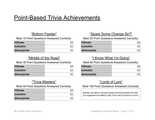## Point-Based Trivia Achievements

#### "Bottom Feeder"

Most 10 Point Questions Answered Correctly:

| h2hoes      |  |
|-------------|--|
| turbotim    |  |
| diosurprise |  |

#### "Middle of the Road"

Most 30 Point Questions Answered Correctly:

| h2hoes      |  |
|-------------|--|
| turbotim    |  |
| diosurprise |  |

### "Trivia Masters"

Most 50 Point Questions Answered Correctly:

| h2hoes      |  |
|-------------|--|
| turbotim    |  |
| diosurprise |  |

#### "Spare Some Change Sir?"

Most 20 Point Questions Answered Correctly:

| h2hoes      |  |
|-------------|--|
| turbotim    |  |
| diosurprise |  |

#### "I Know What I'm Doing"

Most 40 Point Questions Answered Correctly:

| h2hoes      |  |
|-------------|--|
| turbotim    |  |
| diosurprise |  |

### "Lords of Lore"

#### Most 100 Point Questions Answered Correctly:

Nobody was able to correctly answer the final question this year. (It's supposed to be difficult, silly! That's why it's worth so much.)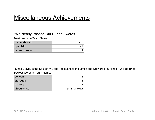## Miscellaneous Achievements

#### "We Nearly Passed Out During Awards"

Most Words In Team Name:

| bananabread   |  |
|---------------|--|
| ripspirit     |  |
| carverurinals |  |

"Since Brevity is the Soul of Wit, and Tediousness the Limbs and Outward Flourishes, I Will Be Brief"

| pelican         |             |
|-----------------|-------------|
| <b>starbuck</b> |             |
| h2hoes          |             |
| diosurprise     | It's a URL? |

Fewest Words In Team Name: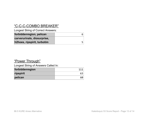## "C-C-C-COMBO BREAKER"

Longest String of Correct Answers:

| forbiddenregion, pelican    |  |
|-----------------------------|--|
| carverurinals, diosurprise, |  |
| h2hoes, ripspirit, turbotim |  |

#### "Power Through"

Longest String of Answers Called In:

| forbiddenregion |    |
|-----------------|----|
| ripspirit       | 63 |
| pelican         |    |